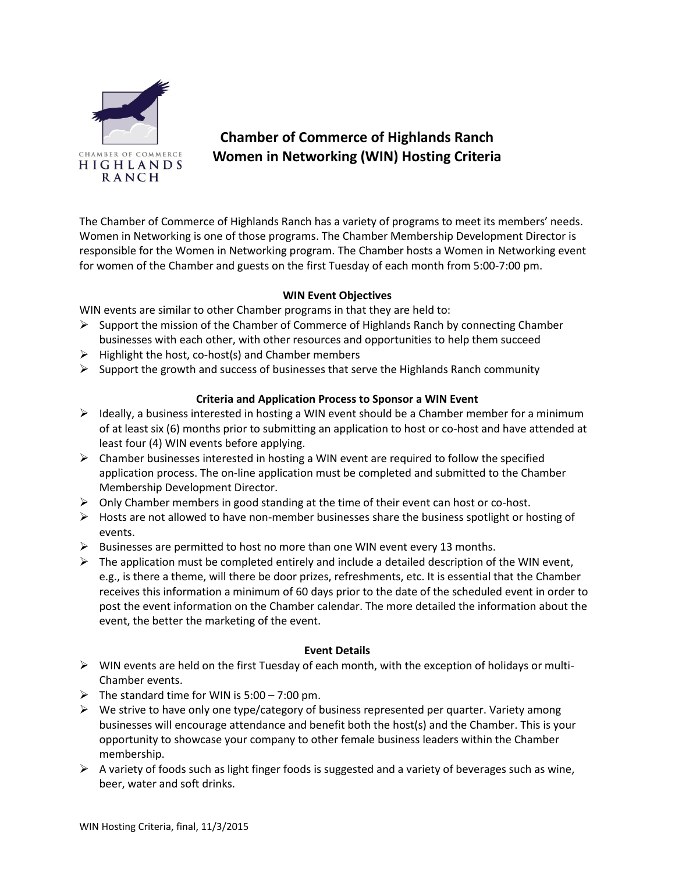

## **Chamber of Commerce of Highlands Ranch Women in Networking (WIN) Hosting Criteria**

The Chamber of Commerce of Highlands Ranch has a variety of programs to meet its members' needs. Women in Networking is one of those programs. The Chamber Membership Development Director is responsible for the Women in Networking program. The Chamber hosts a Women in Networking event for women of the Chamber and guests on the first Tuesday of each month from 5:00-7:00 pm.

## **WIN Event Objectives**

WIN events are similar to other Chamber programs in that they are held to:

- $\triangleright$  Support the mission of the Chamber of Commerce of Highlands Ranch by connecting Chamber businesses with each other, with other resources and opportunities to help them succeed
- $\triangleright$  Highlight the host, co-host(s) and Chamber members
- $\triangleright$  Support the growth and success of businesses that serve the Highlands Ranch community

## **Criteria and Application Process to Sponsor a WIN Event**

- $\triangleright$  Ideally, a business interested in hosting a WIN event should be a Chamber member for a minimum of at least six (6) months prior to submitting an application to host or co-host and have attended at least four (4) WIN events before applying.
- $\triangleright$  Chamber businesses interested in hosting a WIN event are required to follow the specified application process. The on-line application must be completed and submitted to the Chamber Membership Development Director.
- $\triangleright$  Only Chamber members in good standing at the time of their event can host or co-host.
- $\triangleright$  Hosts are not allowed to have non-member businesses share the business spotlight or hosting of events.
- $\triangleright$  Businesses are permitted to host no more than one WIN event every 13 months.
- $\triangleright$  The application must be completed entirely and include a detailed description of the WIN event, e.g., is there a theme, will there be door prizes, refreshments, etc. It is essential that the Chamber receives this information a minimum of 60 days prior to the date of the scheduled event in order to post the event information on the Chamber calendar. The more detailed the information about the event, the better the marketing of the event.

## **Event Details**

- $\triangleright$  WIN events are held on the first Tuesday of each month, with the exception of holidays or multi-Chamber events.
- $\triangleright$  The standard time for WIN is 5:00 7:00 pm.
- $\triangleright$  We strive to have only one type/category of business represented per quarter. Variety among businesses will encourage attendance and benefit both the host(s) and the Chamber. This is your opportunity to showcase your company to other female business leaders within the Chamber membership.
- $\triangleright$  A variety of foods such as light finger foods is suggested and a variety of beverages such as wine, beer, water and soft drinks.